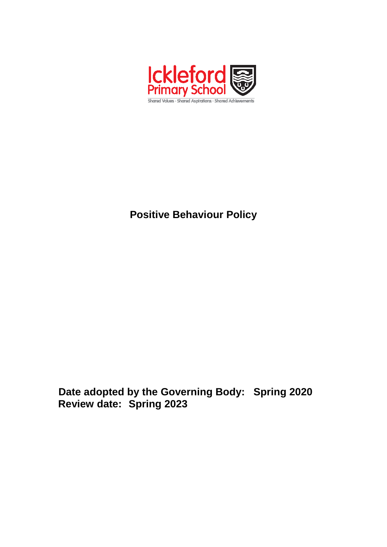

# **Positive Behaviour Policy**

**Date adopted by the Governing Body: Spring 2020 Review date: Spring 2023**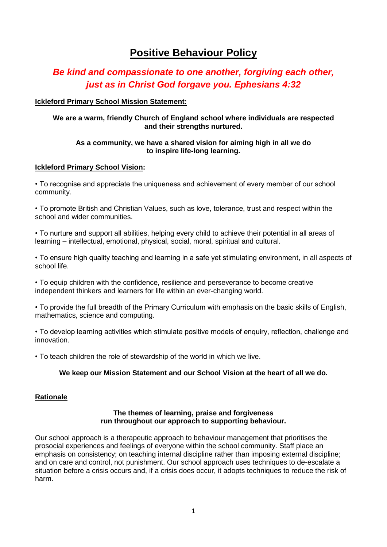# **Positive Behaviour Policy**

# *Be kind and compassionate to one another, forgiving each other, just as in Christ God forgave you. Ephesians 4:32*

## **Ickleford Primary School Mission Statement:**

## **We are a warm, friendly Church of England school where individuals are respected and their strengths nurtured.**

## **As a community, we have a shared vision for aiming high in all we do to inspire life-long learning.**

## **Ickleford Primary School Vision:**

• To recognise and appreciate the uniqueness and achievement of every member of our school community.

• To promote British and Christian Values, such as love, tolerance, trust and respect within the school and wider communities.

• To nurture and support all abilities, helping every child to achieve their potential in all areas of learning – intellectual, emotional, physical, social, moral, spiritual and cultural.

• To ensure high quality teaching and learning in a safe yet stimulating environment, in all aspects of school life.

• To equip children with the confidence, resilience and perseverance to become creative independent thinkers and learners for life within an ever-changing world.

• To provide the full breadth of the Primary Curriculum with emphasis on the basic skills of English, mathematics, science and computing.

• To develop learning activities which stimulate positive models of enquiry, reflection, challenge and innovation.

• To teach children the role of stewardship of the world in which we live.

## **We keep our Mission Statement and our School Vision at the heart of all we do.**

#### **Rationale**

#### **The themes of learning, praise and forgiveness run throughout our approach to supporting behaviour.**

Our school approach is a therapeutic approach to behaviour management that prioritises the prosocial experiences and feelings of everyone within the school community. Staff place an emphasis on consistency; on teaching internal discipline rather than imposing external discipline; and on care and control, not punishment. Our school approach uses techniques to de-escalate a situation before a crisis occurs and, if a crisis does occur, it adopts techniques to reduce the risk of harm.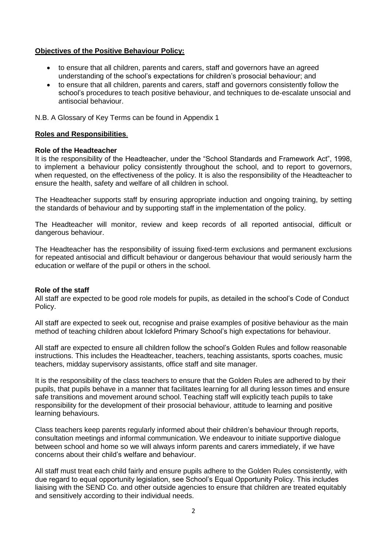## **Objectives of the Positive Behaviour Policy:**

- to ensure that all children, parents and carers, staff and governors have an agreed understanding of the school's expectations for children's prosocial behaviour; and
- to ensure that all children, parents and carers, staff and governors consistently follow the school's procedures to teach positive behaviour, and techniques to de-escalate unsocial and antisocial behaviour.

N.B. A Glossary of Key Terms can be found in Appendix 1

#### **Roles and Responsibilities**.

#### **Role of the Headteacher**

It is the responsibility of the Headteacher, under the "School Standards and Framework Act", 1998, to implement a behaviour policy consistently throughout the school, and to report to governors, when requested, on the effectiveness of the policy. It is also the responsibility of the Headteacher to ensure the health, safety and welfare of all children in school.

The Headteacher supports staff by ensuring appropriate induction and ongoing training, by setting the standards of behaviour and by supporting staff in the implementation of the policy.

The Headteacher will monitor, review and keep records of all reported antisocial, difficult or dangerous behaviour.

The Headteacher has the responsibility of issuing fixed-term exclusions and permanent exclusions for repeated antisocial and difficult behaviour or dangerous behaviour that would seriously harm the education or welfare of the pupil or others in the school.

#### **Role of the staff**

All staff are expected to be good role models for pupils, as detailed in the school's Code of Conduct Policy.

All staff are expected to seek out, recognise and praise examples of positive behaviour as the main method of teaching children about Ickleford Primary School's high expectations for behaviour.

All staff are expected to ensure all children follow the school's Golden Rules and follow reasonable instructions. This includes the Headteacher, teachers, teaching assistants, sports coaches, music teachers, midday supervisory assistants, office staff and site manager.

It is the responsibility of the class teachers to ensure that the Golden Rules are adhered to by their pupils, that pupils behave in a manner that facilitates learning for all during lesson times and ensure safe transitions and movement around school. Teaching staff will explicitly teach pupils to take responsibility for the development of their prosocial behaviour, attitude to learning and positive learning behaviours.

Class teachers keep parents regularly informed about their children's behaviour through reports, consultation meetings and informal communication. We endeavour to initiate supportive dialogue between school and home so we will always inform parents and carers immediately, if we have concerns about their child's welfare and behaviour.

All staff must treat each child fairly and ensure pupils adhere to the Golden Rules consistently, with due regard to equal opportunity legislation, see School's Equal Opportunity Policy. This includes liaising with the SEND Co. and other outside agencies to ensure that children are treated equitably and sensitively according to their individual needs.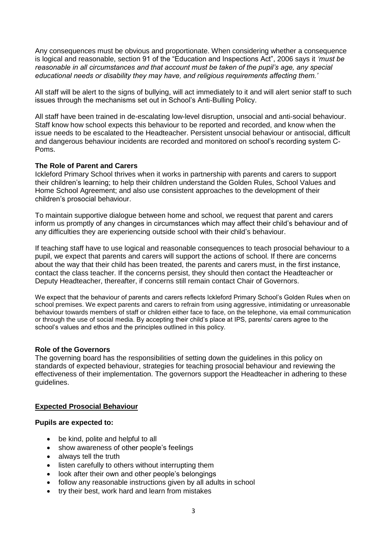Any consequences must be obvious and proportionate. When considering whether a consequence is logical and reasonable, section 91 of the "Education and Inspections Act", 2006 says it *'must be reasonable in all circumstances and that account must be taken of the pupil's age, any special educational needs or disability they may have, and religious requirements affecting them.'*

All staff will be alert to the signs of bullying, will act immediately to it and will alert senior staff to such issues through the mechanisms set out in School's Anti-Bulling Policy.

All staff have been trained in de-escalating low-level disruption, unsocial and anti-social behaviour. Staff know how school expects this behaviour to be reported and recorded, and know when the issue needs to be escalated to the Headteacher. Persistent unsocial behaviour or antisocial, difficult and dangerous behaviour incidents are recorded and monitored on school's recording system C-Poms.

#### **The Role of Parent and Carers**

Ickleford Primary School thrives when it works in partnership with parents and carers to support their children's learning; to help their children understand the Golden Rules, School Values and Home School Agreement; and also use consistent approaches to the development of their children's prosocial behaviour.

To maintain supportive dialogue between home and school, we request that parent and carers inform us promptly of any changes in circumstances which may affect their child's behaviour and of any difficulties they are experiencing outside school with their child's behaviour.

If teaching staff have to use logical and reasonable consequences to teach prosocial behaviour to a pupil, we expect that parents and carers will support the actions of school. If there are concerns about the way that their child has been treated, the parents and carers must, in the first instance, contact the class teacher. If the concerns persist, they should then contact the Headteacher or Deputy Headteacher, thereafter, if concerns still remain contact Chair of Governors.

We expect that the behaviour of parents and carers reflects Ickleford Primary School's Golden Rules when on school premises. We expect parents and carers to refrain from using aggressive, intimidating or unreasonable behaviour towards members of staff or children either face to face, on the telephone, via email communication or through the use of social media. By accepting their child's place at IPS, parents/ carers agree to the school's values and ethos and the principles outlined in this policy.

#### **Role of the Governors**

The governing board has the responsibilities of setting down the guidelines in this policy on standards of expected behaviour, strategies for teaching prosocial behaviour and reviewing the effectiveness of their implementation. The governors support the Headteacher in adhering to these guidelines.

#### **Expected Prosocial Behaviour**

#### **Pupils are expected to:**

- be kind, polite and helpful to all
- show awareness of other people's feelings
- always tell the truth
- listen carefully to others without interrupting them
- look after their own and other people's belongings
- follow any reasonable instructions given by all adults in school
- try their best, work hard and learn from mistakes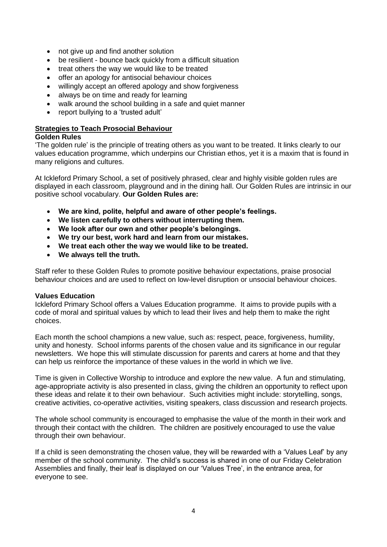- not give up and find another solution
- be resilient bounce back quickly from a difficult situation
- treat others the way we would like to be treated
- offer an apology for antisocial behaviour choices
- willingly accept an offered apology and show forgiveness
- always be on time and ready for learning
- walk around the school building in a safe and quiet manner
- report bullying to a 'trusted adult'

#### **Strategies to Teach Prosocial Behaviour**

#### **Golden Rules**

'The golden rule' is the principle of treating others as you want to be treated. It links clearly to our values education programme, which underpins our Christian ethos, yet it is a maxim that is found in many religions and cultures.

At Ickleford Primary School, a set of positively phrased, clear and highly visible golden rules are displayed in each classroom, playground and in the dining hall. Our Golden Rules are intrinsic in our positive school vocabulary. **Our Golden Rules are:**

- **We are kind, polite, helpful and aware of other people's feelings.**
- **We listen carefully to others without interrupting them.**
- **We look after our own and other people's belongings.**
- **We try our best, work hard and learn from our mistakes.**
- **We treat each other the way we would like to be treated.**
- **We always tell the truth.**

Staff refer to these Golden Rules to promote positive behaviour expectations, praise prosocial behaviour choices and are used to reflect on low-level disruption or unsocial behaviour choices.

#### **Values Education**

Ickleford Primary School offers a Values Education programme. It aims to provide pupils with a code of moral and spiritual values by which to lead their lives and help them to make the right choices.

Each month the school champions a new value, such as: respect, peace, forgiveness, humility, unity and honesty. School informs parents of the chosen value and its significance in our regular newsletters. We hope this will stimulate discussion for parents and carers at home and that they can help us reinforce the importance of these values in the world in which we live.

Time is given in Collective Worship to introduce and explore the new value. A fun and stimulating, age-appropriate activity is also presented in class, giving the children an opportunity to reflect upon these ideas and relate it to their own behaviour. Such activities might include: storytelling, songs, creative activities, co-operative activities, visiting speakers, class discussion and research projects.

The whole school community is encouraged to emphasise the value of the month in their work and through their contact with the children. The children are positively encouraged to use the value through their own behaviour.

If a child is seen demonstrating the chosen value, they will be rewarded with a 'Values Leaf' by any member of the school community. The child's success is shared in one of our Friday Celebration Assemblies and finally, their leaf is displayed on our 'Values Tree', in the entrance area, for everyone to see.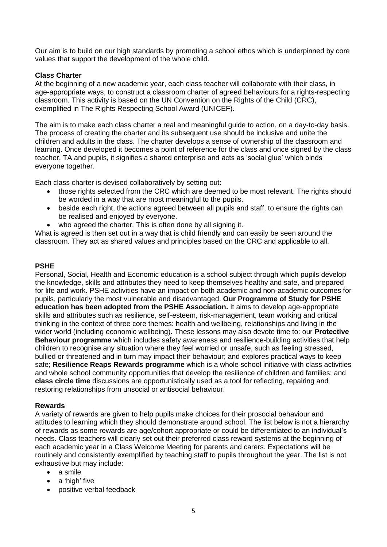Our aim is to build on our high standards by promoting a school ethos which is underpinned by core values that support the development of the whole child.

## **Class Charter**

At the beginning of a new academic year, each class teacher will collaborate with their class, in age-appropriate ways, to construct a classroom charter of agreed behaviours for a rights-respecting classroom. This activity is based on the UN Convention on the Rights of the Child (CRC), exemplified in The Rights Respecting School Award (UNICEF).

The aim is to make each class charter a real and meaningful guide to action, on a day-to-day basis. The process of creating the charter and its subsequent use should be inclusive and unite the children and adults in the class. The charter develops a sense of ownership of the classroom and learning. Once developed it becomes a point of reference for the class and once signed by the class teacher, TA and pupils, it signifies a shared enterprise and acts as 'social glue' which binds everyone together.

Each class charter is devised collaboratively by setting out:

- those rights selected from the CRC which are deemed to be most relevant. The rights should be worded in a way that are most meaningful to the pupils.
- beside each right, the actions agreed between all pupils and staff, to ensure the rights can be realised and enjoyed by everyone.
- who agreed the charter. This is often done by all signing it.

What is agreed is then set out in a way that is child friendly and can easily be seen around the classroom. They act as shared values and principles based on the CRC and applicable to all.

## **PSHE**

Personal, Social, Health and Economic education is a school subject through which pupils develop the knowledge, skills and attributes they need to keep themselves healthy and safe, and prepared for life and work. PSHE activities have an impact on both academic and non-academic outcomes for pupils, particularly the most vulnerable and disadvantaged. **Our Programme of Study for PSHE education has been adopted from the PSHE Association.** It aims to develop age-appropriate skills and attributes such as resilience, self-esteem, risk-management, team working and critical thinking in the context of three core themes: health and wellbeing, relationships and living in the wider world (including economic wellbeing). These lessons may also devote time to: our **Protective Behaviour programme** which includes safety awareness and resilience-building activities that help children to recognise any situation where they feel worried or unsafe, such as feeling stressed, bullied or threatened and in turn may impact their behaviour; and explores practical ways to keep safe; **Resilience Reaps Rewards programme** which is a whole school initiative with class activities and whole school community opportunities that develop the resilience of children and families; and **class circle time** discussions are opportunistically used as a tool for reflecting, repairing and restoring relationships from unsocial or antisocial behaviour.

#### **Rewards**

A variety of rewards are given to help pupils make choices for their prosocial behaviour and attitudes to learning which they should demonstrate around school. The list below is not a hierarchy of rewards as some rewards are age/cohort appropriate or could be differentiated to an individual's needs. Class teachers will clearly set out their preferred class reward systems at the beginning of each academic year in a Class Welcome Meeting for parents and carers. Expectations will be routinely and consistently exemplified by teaching staff to pupils throughout the year. The list is not exhaustive but may include:

- a smile
- a 'high' five
- positive verbal feedback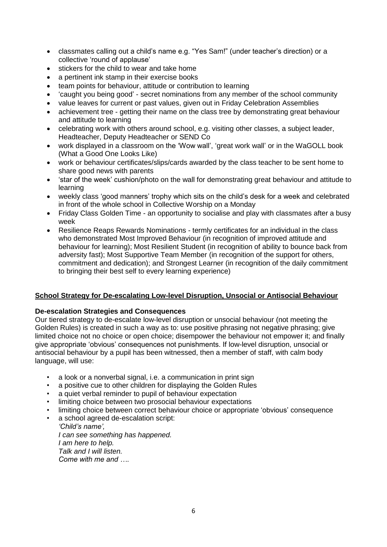- classmates calling out a child's name e.g. "Yes Sam!" (under teacher's direction) or a collective 'round of applause'
- stickers for the child to wear and take home
- a pertinent ink stamp in their exercise books
- team points for behaviour, attitude or contribution to learning
- 'caught you being good' secret nominations from any member of the school community
- value leaves for current or past values, given out in Friday Celebration Assemblies
- achievement tree getting their name on the class tree by demonstrating great behaviour and attitude to learning
- celebrating work with others around school, e.g. visiting other classes, a subject leader, Headteacher, Deputy Headteacher or SEND Co
- work displayed in a classroom on the 'Wow wall', 'great work wall' or in the WaGOLL book (What a Good One Looks Like)
- work or behaviour certificates/slips/cards awarded by the class teacher to be sent home to share good news with parents
- 'star of the week' cushion/photo on the wall for demonstrating great behaviour and attitude to learning
- weekly class 'good manners' trophy which sits on the child's desk for a week and celebrated in front of the whole school in Collective Worship on a Monday
- Friday Class Golden Time an opportunity to socialise and play with classmates after a busy week
- Resilience Reaps Rewards Nominations termly certificates for an individual in the class who demonstrated Most Improved Behaviour (in recognition of improved attitude and behaviour for learning); Most Resilient Student (in recognition of ability to bounce back from adversity fast); Most Supportive Team Member (in recognition of the support for others, commitment and dedication); and Strongest Learner (in recognition of the daily commitment to bringing their best self to every learning experience)

#### **School Strategy for De-escalating Low-level Disruption, Unsocial or Antisocial Behaviour**

#### **De-escalation Strategies and Consequences**

Our tiered strategy to de-escalate low-level disruption or unsocial behaviour (not meeting the Golden Rules) is created in such a way as to: use positive phrasing not negative phrasing; give limited choice not no choice or open choice; disempower the behaviour not empower it; and finally give appropriate 'obvious' consequences not punishments. If low-level disruption, unsocial or antisocial behaviour by a pupil has been witnessed, then a member of staff, with calm body language, will use:

- a look or a nonverbal signal, i.e. a communication in print sign
- a positive cue to other children for displaying the Golden Rules
- a quiet verbal reminder to pupil of behaviour expectation
- limiting choice between two prosocial behaviour expectations
- limiting choice between correct behaviour choice or appropriate 'obvious' consequence
- a school agreed de-escalation script:

*'Child's name', I can see something has happened. I am here to help. Talk and I will listen. Come with me and ….*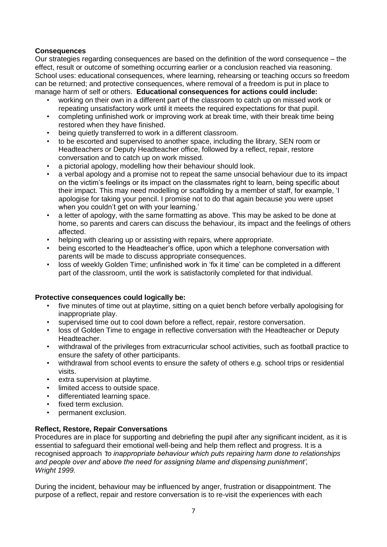# **Consequences**

Our strategies regarding consequences are based on the definition of the word consequence – the effect, result or outcome of something occurring earlier or a conclusion reached via reasoning. School uses: educational consequences, where learning, rehearsing or teaching occurs so freedom can be returned; and protective consequences, where removal of a freedom is put in place to manage harm of self or others. **Educational consequences for actions could include:**

- working on their own in a different part of the classroom to catch up on missed work or repeating unsatisfactory work until it meets the required expectations for that pupil.
- completing unfinished work or improving work at break time, with their break time being restored when they have finished.
- being quietly transferred to work in a different classroom.
- to be escorted and supervised to another space, including the library, SEN room or Headteachers or Deputy Headteacher office, followed by a reflect, repair, restore conversation and to catch up on work missed.
- a pictorial apology, modelling how their behaviour should look.
- a verbal apology and a promise not to repeat the same unsocial behaviour due to its impact on the victim's feelings or its impact on the classmates right to learn, being specific about their impact. This may need modelling or scaffolding by a member of staff, for example, 'I apologise for taking your pencil. I promise not to do that again because you were upset when you couldn't get on with your learning.'
- a letter of apology, with the same formatting as above. This may be asked to be done at home, so parents and carers can discuss the behaviour, its impact and the feelings of others affected.
- helping with clearing up or assisting with repairs, where appropriate.
- being escorted to the Headteacher's office, upon which a telephone conversation with parents will be made to discuss appropriate consequences.
- loss of weekly Golden Time; unfinished work in 'fix it time' can be completed in a different part of the classroom, until the work is satisfactorily completed for that individual.

#### **Protective consequences could logically be:**

- five minutes of time out at playtime, sitting on a quiet bench before verbally apologising for inappropriate play.
- supervised time out to cool down before a reflect, repair, restore conversation.
- loss of Golden Time to engage in reflective conversation with the Headteacher or Deputy Headteacher.
- withdrawal of the privileges from extracurricular school activities, such as football practice to ensure the safety of other participants.
- withdrawal from school events to ensure the safety of others e.g. school trips or residential visits.
- extra supervision at playtime.
- limited access to outside space.
- differentiated learning space.
- fixed term exclusion.
- permanent exclusion.

# **Reflect, Restore, Repair Conversations**

Procedures are in place for supporting and debriefing the pupil after any significant incident, as it is essential to safeguard their emotional well-being and help them reflect and progress. It is a recognised approach *'to inappropriate behaviour which puts repairing harm done to relationships and people over and above the need for assigning blame and dispensing punishment', Wright 1999.*

During the incident, behaviour may be influenced by anger, frustration or disappointment. The purpose of a reflect, repair and restore conversation is to re-visit the experiences with each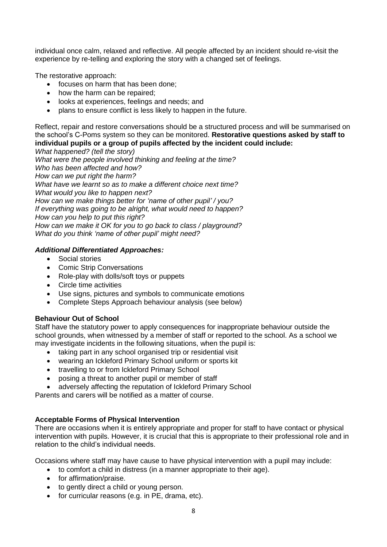individual once calm, relaxed and reflective. All people affected by an incident should re-visit the experience by re-telling and exploring the story with a changed set of feelings.

The restorative approach:

- focuses on harm that has been done:
- how the harm can be repaired:
- looks at experiences, feelings and needs; and
- plans to ensure conflict is less likely to happen in the future.

Reflect, repair and restore conversations should be a structured process and will be summarised on the school's C-Poms system so they can be monitored. **Restorative questions asked by staff to individual pupils or a group of pupils affected by the incident could include:**

*What happened? (tell the story) What were the people involved thinking and feeling at the time? Who has been affected and how? How can we put right the harm? What have we learnt so as to make a different choice next time? What would you like to happen next? How can we make things better for 'name of other pupil' / you? If everything was going to be alright, what would need to happen? How can you help to put this right? How can we make it OK for you to go back to class / playground? What do you think 'name of other pupil' might need?*

## *Additional Differentiated Approaches:*

- Social stories
- Comic Strip Conversations
- Role-play with dolls/soft toys or puppets
- Circle time activities
- Use signs, pictures and symbols to communicate emotions
- Complete Steps Approach behaviour analysis (see below)

# **Behaviour Out of School**

Staff have the statutory power to apply consequences for inappropriate behaviour outside the school grounds, when witnessed by a member of staff or reported to the school. As a school we may investigate incidents in the following situations, when the pupil is:

- taking part in any school organised trip or residential visit
- wearing an Ickleford Primary School uniform or sports kit
- travelling to or from Ickleford Primary School
- posing a threat to another pupil or member of staff
- adversely affecting the reputation of Ickleford Primary School

Parents and carers will be notified as a matter of course.

# **Acceptable Forms of Physical Intervention**

There are occasions when it is entirely appropriate and proper for staff to have contact or physical intervention with pupils. However, it is crucial that this is appropriate to their professional role and in relation to the child's individual needs.

Occasions where staff may have cause to have physical intervention with a pupil may include:

- to comfort a child in distress (in a manner appropriate to their age).
- for affirmation/praise.
- to gently direct a child or young person.
- for curricular reasons (e.g. in PE, drama, etc).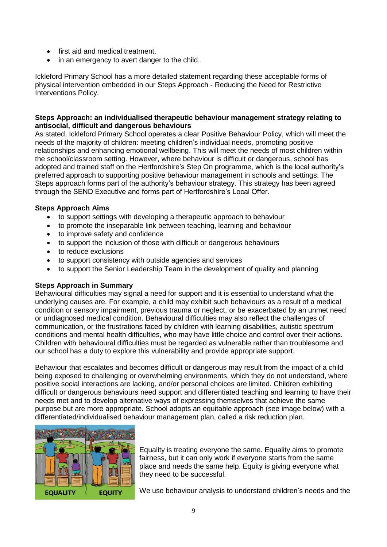- first aid and medical treatment.
- in an emergency to avert danger to the child.

Ickleford Primary School has a more detailed statement regarding these acceptable forms of physical intervention embedded in our Steps Approach - Reducing the Need for Restrictive Interventions Policy.

#### **Steps Approach: an individualised therapeutic behaviour management strategy relating to antisocial, difficult and dangerous behaviours**

As stated, Ickleford Primary School operates a clear Positive Behaviour Policy, which will meet the needs of the majority of children: meeting children's individual needs, promoting positive relationships and enhancing emotional wellbeing. This will meet the needs of most children within the school/classroom setting. However, where behaviour is difficult or dangerous, school has adopted and trained staff on the Hertfordshire's Step On programme, which is the local authority's preferred approach to supporting positive behaviour management in schools and settings. The Steps approach forms part of the authority's behaviour strategy. This strategy has been agreed through the SEND Executive and forms part of Hertfordshire's Local Offer.

#### **Steps Approach Aims**

- to support settings with developing a therapeutic approach to behaviour
- to promote the inseparable link between teaching, learning and behaviour
- to improve safety and confidence
- to support the inclusion of those with difficult or dangerous behaviours
- to reduce exclusions
- to support consistency with outside agencies and services
- to support the Senior Leadership Team in the development of quality and planning

#### **Steps Approach in Summary**

Behavioural difficulties may signal a need for support and it is essential to understand what the underlying causes are. For example, a child may exhibit such behaviours as a result of a medical condition or sensory impairment, previous trauma or neglect, or be exacerbated by an unmet need or undiagnosed medical condition. Behavioural difficulties may also reflect the challenges of communication, or the frustrations faced by children with learning disabilities, autistic spectrum conditions and mental health difficulties, who may have little choice and control over their actions. Children with behavioural difficulties must be regarded as vulnerable rather than troublesome and our school has a duty to explore this vulnerability and provide appropriate support.

Behaviour that escalates and becomes difficult or dangerous may result from the impact of a child being exposed to challenging or overwhelming environments, which they do not understand, where positive social interactions are lacking, and/or personal choices are limited. Children exhibiting difficult or dangerous behaviours need support and differentiated teaching and learning to have their needs met and to develop alternative ways of expressing themselves that achieve the same purpose but are more appropriate. School adopts an equitable approach (see image below) with a differentiated/individualised behaviour management plan, called a risk reduction plan.



Equality is treating everyone the same. Equality aims to promote fairness, but it can only work if everyone starts from the same place and needs the same help. Equity is giving everyone what they need to be successful.

We use behaviour analysis to understand children's needs and the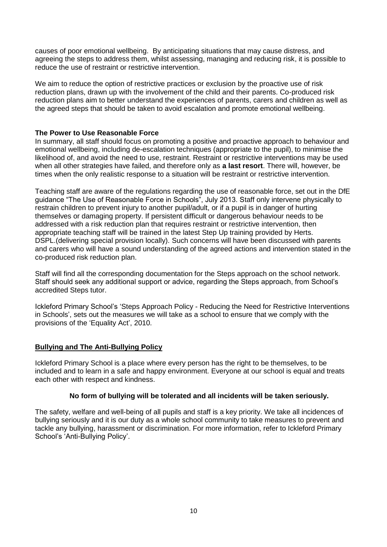causes of poor emotional wellbeing. By anticipating situations that may cause distress, and agreeing the steps to address them, whilst assessing, managing and reducing risk, it is possible to reduce the use of restraint or restrictive intervention.

We aim to reduce the option of restrictive practices or exclusion by the proactive use of risk reduction plans, drawn up with the involvement of the child and their parents. Co-produced risk reduction plans aim to better understand the experiences of parents, carers and children as well as the agreed steps that should be taken to avoid escalation and promote emotional wellbeing.

#### **The Power to Use Reasonable Force**

In summary, all staff should focus on promoting a positive and proactive approach to behaviour and emotional wellbeing, including de-escalation techniques (appropriate to the pupil), to minimise the likelihood of, and avoid the need to use, restraint. Restraint or restrictive interventions may be used when all other strategies have failed, and therefore only as **a last resort**. There will, however, be times when the only realistic response to a situation will be restraint or restrictive intervention.

Teaching staff are aware of the regulations regarding the use of reasonable force, set out in the DfE guidance "The Use of Reasonable Force in Schools", July 2013. Staff only intervene physically to restrain children to prevent injury to another pupil/adult, or if a pupil is in danger of hurting themselves or damaging property. If persistent difficult or dangerous behaviour needs to be addressed with a risk reduction plan that requires restraint or restrictive intervention, then appropriate teaching staff will be trained in the latest Step Up training provided by Herts. DSPL.(delivering special provision locally). Such concerns will have been discussed with parents and carers who will have a sound understanding of the agreed actions and intervention stated in the co-produced risk reduction plan.

Staff will find all the corresponding documentation for the Steps approach on the school network. Staff should seek any additional support or advice, regarding the Steps approach, from School's accredited Steps tutor.

Ickleford Primary School's 'Steps Approach Policy - Reducing the Need for Restrictive Interventions in Schools', sets out the measures we will take as a school to ensure that we comply with the provisions of the 'Equality Act', 2010.

#### **Bullying and The Anti-Bullying Policy**

Ickleford Primary School is a place where every person has the right to be themselves, to be included and to learn in a safe and happy environment. Everyone at our school is equal and treats each other with respect and kindness.

#### **No form of bullying will be tolerated and all incidents will be taken seriously.**

The safety, welfare and well-being of all pupils and staff is a key priority. We take all incidences of bullying seriously and it is our duty as a whole school community to take measures to prevent and tackle any bullying, harassment or discrimination. For more information, refer to Ickleford Primary School's 'Anti-Bullying Policy'.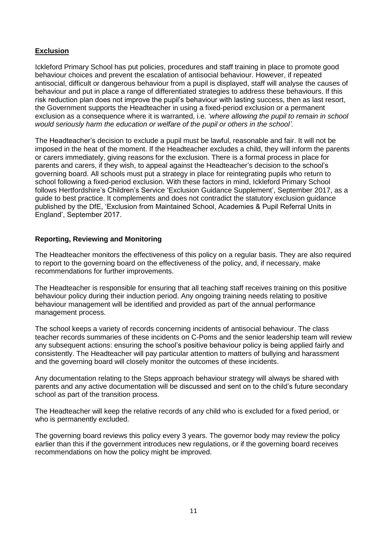# **Exclusion**

Ickleford Primary School has put policies, procedures and staff training in place to promote good behaviour choices and prevent the escalation of antisocial behaviour. However, if repeated antisocial, difficult or dangerous behaviour from a pupil is displayed, staff will analyse the causes of behaviour and put in place a range of differentiated strategies to address these behaviours. If this risk reduction plan does not improve the pupil's behaviour with lasting success, then as last resort, the Government supports the Headteacher in using a fixed-period exclusion or a permanent exclusion as a consequence where it is warranted, i.e. '*where allowing the pupil to remain in school would seriously harm the education or welfare of the pupil or others in the school'.*

The Headteacher's decision to exclude a pupil must be lawful, reasonable and fair. It will not be imposed in the heat of the moment. If the Headteacher excludes a child, they will inform the parents or carers immediately, giving reasons for the exclusion. There is a formal process in place for parents and carers, if they wish, to appeal against the Headteacher's decision to the school's governing board. All schools must put a strategy in place for reintegrating pupils who return to school following a fixed-period exclusion. With these factors in mind, Ickleford Primary School follows Hertfordshire's Children's Service 'Exclusion Guidance Supplement', September 2017, as a guide to best practice. It complements and does not contradict the statutory exclusion guidance published by the DfE, 'Exclusion from Maintained School, Academies & Pupil Referral Units in England', September 2017.

#### **Reporting, Reviewing and Monitoring**

The Headteacher monitors the effectiveness of this policy on a regular basis. They are also required to report to the governing board on the effectiveness of the policy, and, if necessary, make recommendations for further improvements.

The Headteacher is responsible for ensuring that all teaching staff receives training on this positive behaviour policy during their induction period. Any ongoing training needs relating to positive behaviour management will be identified and provided as part of the annual performance management process.

The school keeps a variety of records concerning incidents of antisocial behaviour. The class teacher records summaries of these incidents on C-Poms and the senior leadership team will review any subsequent actions: ensuring the school's positive behaviour policy is being applied fairly and consistently. The Headteacher will pay particular attention to matters of bullying and harassment and the governing board will closely monitor the outcomes of these incidents.

Any documentation relating to the Steps approach behaviour strategy will always be shared with parents and any active documentation will be discussed and sent on to the child's future secondary school as part of the transition process.

The Headteacher will keep the relative records of any child who is excluded for a fixed period, or who is permanently excluded.

The governing board reviews this policy every 3 years. The governor body may review the policy earlier than this if the government introduces new regulations, or if the governing board receives recommendations on how the policy might be improved.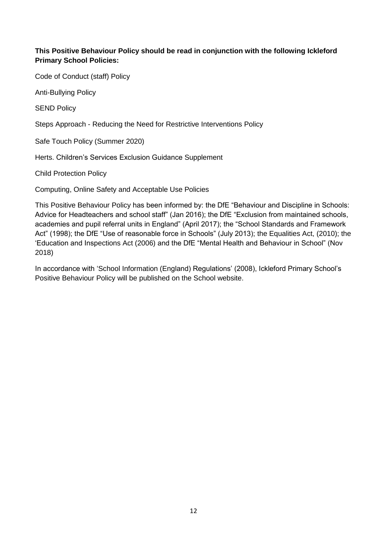# **This Positive Behaviour Policy should be read in conjunction with the following Ickleford Primary School Policies:**

Code of Conduct (staff) Policy

Anti-Bullying Policy

SEND Policy

Steps Approach - Reducing the Need for Restrictive Interventions Policy

Safe Touch Policy (Summer 2020)

Herts. Children's Services Exclusion Guidance Supplement

Child Protection Policy

Computing, Online Safety and Acceptable Use Policies

This Positive Behaviour Policy has been informed by: the DfE "Behaviour and Discipline in Schools: Advice for Headteachers and school staff" (Jan 2016); the DfE "Exclusion from maintained schools, academies and pupil referral units in England" (April 2017); the "School Standards and Framework Act" (1998); the DfE "Use of reasonable force in Schools" (July 2013); the Equalities Act, (2010); the 'Education and Inspections Act (2006) and the DfE "Mental Health and Behaviour in School" (Nov 2018)

In accordance with 'School Information (England) Regulations' (2008), Ickleford Primary School's Positive Behaviour Policy will be published on the School website.